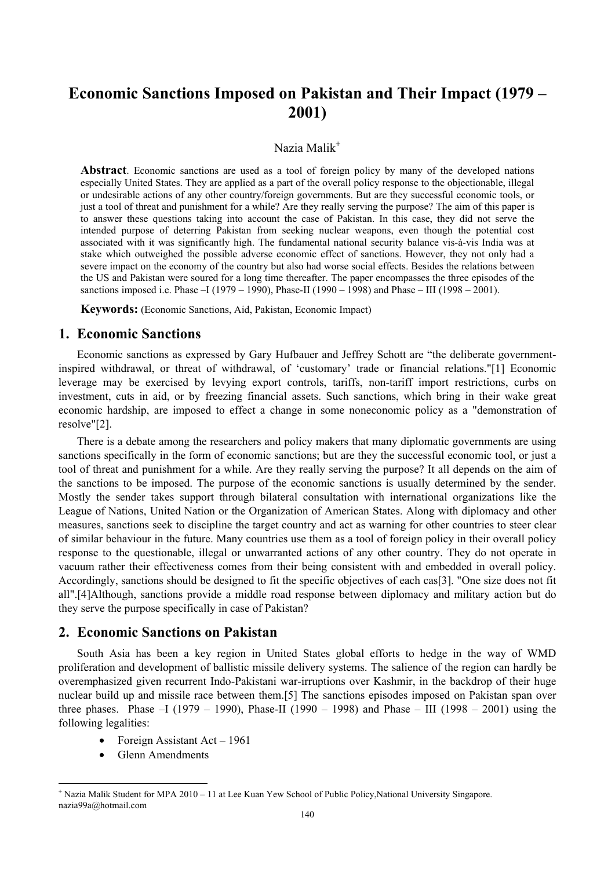# **Economic Sanctions Imposed on Pakistan and Their Impact (1979 – 2001)**

### Nazia Malik<sup>+</sup>

**Abstract**. Economic sanctions are used as a tool of foreign policy by many of the developed nations especially United States. They are applied as a part of the overall policy response to the objectionable, illegal or undesirable actions of any other country/foreign governments. But are they successful economic tools, or just a tool of threat and punishment for a while? Are they really serving the purpose? The aim of this paper is to answer these questions taking into account the case of Pakistan. In this case, they did not serve the intended purpose of deterring Pakistan from seeking nuclear weapons, even though the potential cost associated with it was significantly high. The fundamental national security balance vis-à-vis India was at stake which outweighed the possible adverse economic effect of sanctions. However, they not only had a severe impact on the economy of the country but also had worse social effects. Besides the relations between the US and Pakistan were soured for a long time thereafter. The paper encompasses the three episodes of the sanctions imposed i.e. Phase –I (1979 – 1990), Phase-II (1990 – 1998) and Phase – III (1998 – 2001).

**Keywords:** (Economic Sanctions, Aid, Pakistan, Economic Impact)

### **1. Economic Sanctions**

Economic sanctions as expressed by Gary Hufbauer and Jeffrey Schott are "the deliberate governmentinspired withdrawal, or threat of withdrawal, of 'customary' trade or financial relations."[1] Economic leverage may be exercised by levying export controls, tariffs, non-tariff import restrictions, curbs on investment, cuts in aid, or by freezing financial assets. Such sanctions, which bring in their wake great economic hardship, are imposed to effect a change in some noneconomic policy as a "demonstration of resolve"[2].

There is a debate among the researchers and policy makers that many diplomatic governments are using sanctions specifically in the form of economic sanctions; but are they the successful economic tool, or just a tool of threat and punishment for a while. Are they really serving the purpose? It all depends on the aim of the sanctions to be imposed. The purpose of the economic sanctions is usually determined by the sender. Mostly the sender takes support through bilateral consultation with international organizations like the League of Nations, United Nation or the Organization of American States. Along with diplomacy and other measures, sanctions seek to discipline the target country and act as warning for other countries to steer clear of similar behaviour in the future. Many countries use them as a tool of foreign policy in their overall policy response to the questionable, illegal or unwarranted actions of any other country. They do not operate in vacuum rather their effectiveness comes from their being consistent with and embedded in overall policy. Accordingly, sanctions should be designed to fit the specific objectives of each cas[3]. "One size does not fit all".[4]Although, sanctions provide a middle road response between diplomacy and military action but do they serve the purpose specifically in case of Pakistan?

## **2. Economic Sanctions on Pakistan**

South Asia has been a key region in United States global efforts to hedge in the way of WMD proliferation and development of ballistic missile delivery systems. The salience of the region can hardly be overemphasized given recurrent Indo-Pakistani war-irruptions over Kashmir, in the backdrop of their huge nuclear build up and missile race between them.[5] The sanctions episodes imposed on Pakistan span over three phases. Phase –I (1979 – 1990), Phase-II (1990 – 1998) and Phase – III (1998 – 2001) using the following legalities:

- Foreign Assistant Act 1961
- Glenn Amendments

 $\overline{a}$ 

<sup>+</sup> Nazia Malik Student for MPA 2010 – 11 at Lee Kuan Yew School of Public Policy,National University Singapore. nazia99a@hotmail.com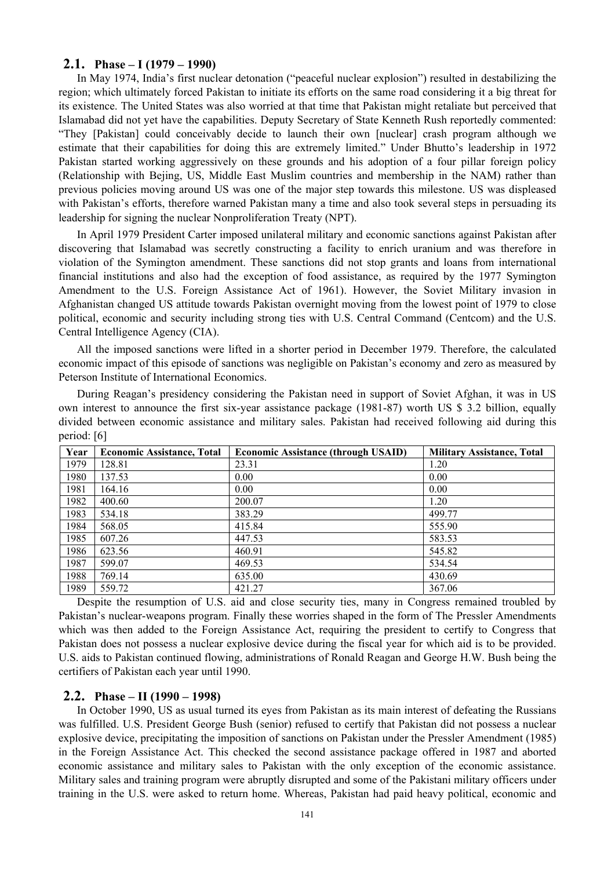#### **2.1. Phase – I (1979 – 1990)**

In May 1974, India's first nuclear detonation ("peaceful nuclear explosion") resulted in destabilizing the region; which ultimately forced Pakistan to initiate its efforts on the same road considering it a big threat for its existence. The United States was also worried at that time that Pakistan might retaliate but perceived that Islamabad did not yet have the capabilities. Deputy Secretary of State Kenneth Rush reportedly commented: "They [Pakistan] could conceivably decide to launch their own [nuclear] crash program although we estimate that their capabilities for doing this are extremely limited." Under Bhutto's leadership in 1972 Pakistan started working aggressively on these grounds and his adoption of a four pillar foreign policy (Relationship with Bejing, US, Middle East Muslim countries and membership in the NAM) rather than previous policies moving around US was one of the major step towards this milestone. US was displeased with Pakistan's efforts, therefore warned Pakistan many a time and also took several steps in persuading its leadership for signing the nuclear Nonproliferation Treaty (NPT).

In April 1979 President Carter imposed unilateral military and economic sanctions against Pakistan after discovering that Islamabad was secretly constructing a facility to enrich uranium and was therefore in violation of the Symington amendment. These sanctions did not stop grants and loans from international financial institutions and also had the exception of food assistance, as required by the 1977 Symington Amendment to the U.S. Foreign Assistance Act of 1961). However, the Soviet Military invasion in Afghanistan changed US attitude towards Pakistan overnight moving from the lowest point of 1979 to close political, economic and security including strong ties with U.S. Central Command (Centcom) and the U.S. Central Intelligence Agency (CIA).

All the imposed sanctions were lifted in a shorter period in December 1979. Therefore, the calculated economic impact of this episode of sanctions was negligible on Pakistan's economy and zero as measured by Peterson Institute of International Economics.

During Reagan's presidency considering the Pakistan need in support of Soviet Afghan, it was in US own interest to announce the first six-year assistance package (1981-87) worth US \$ 3.2 billion, equally divided between economic assistance and military sales. Pakistan had received following aid during this period: [6]

| Year | <b>Economic Assistance, Total</b> | <b>Economic Assistance (through USAID)</b> | <b>Military Assistance, Total</b> |
|------|-----------------------------------|--------------------------------------------|-----------------------------------|
| 1979 | 128.81                            | 23.31                                      | 1.20                              |
| 1980 | 137.53                            | 0.00                                       | 0.00                              |
| 1981 | 164.16                            | 0.00                                       | 0.00                              |
| 1982 | 400.60                            | 200.07                                     | 1.20                              |
| 1983 | 534.18                            | 383.29                                     | 499.77                            |
| 1984 | 568.05                            | 415.84                                     | 555.90                            |
| 1985 | 607.26                            | 447.53                                     | 583.53                            |
| 1986 | 623.56                            | 460.91                                     | 545.82                            |
| 1987 | 599.07                            | 469.53                                     | 534.54                            |
| 1988 | 769.14                            | 635.00                                     | 430.69                            |
| 1989 | 559.72                            | 421.27                                     | 367.06                            |

Despite the resumption of U.S. aid and close security ties, many in Congress remained troubled by Pakistan's nuclear-weapons program. Finally these worries shaped in the form of The Pressler Amendments which was then added to the Foreign Assistance Act, requiring the president to certify to Congress that Pakistan does not possess a nuclear explosive device during the fiscal year for which aid is to be provided. U.S. aids to Pakistan continued flowing, administrations of Ronald Reagan and George H.W. Bush being the certifiers of Pakistan each year until 1990.

#### **2.2. Phase – II (1990 – 1998)**

In October 1990, US as usual turned its eyes from Pakistan as its main interest of defeating the Russians was fulfilled. U.S. President George Bush (senior) refused to certify that Pakistan did not possess a nuclear explosive device, precipitating the imposition of sanctions on Pakistan under the Pressler Amendment (1985) in the Foreign Assistance Act. This checked the second assistance package offered in 1987 and aborted economic assistance and military sales to Pakistan with the only exception of the economic assistance. Military sales and training program were abruptly disrupted and some of the Pakistani military officers under training in the U.S. were asked to return home. Whereas, Pakistan had paid heavy political, economic and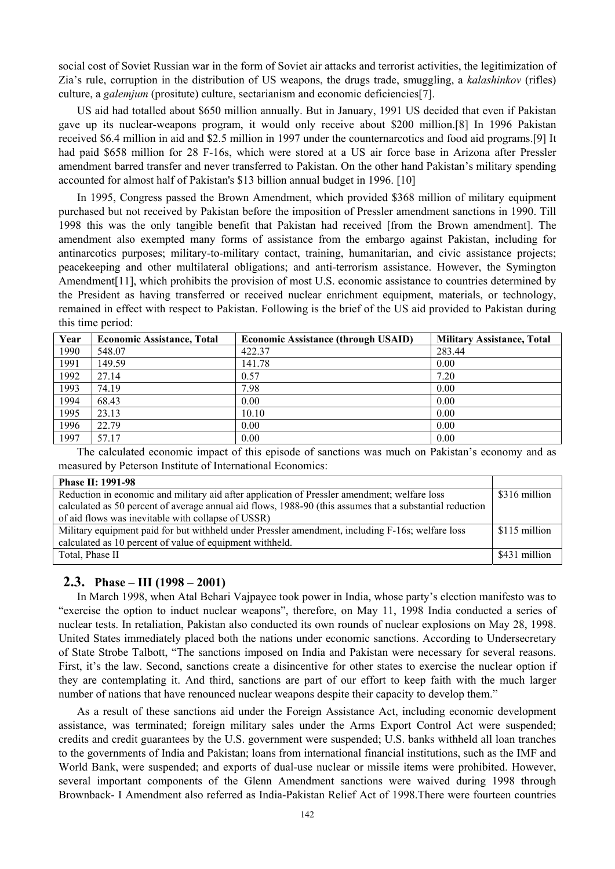social cost of Soviet Russian war in the form of Soviet air attacks and terrorist activities, the legitimization of Zia's rule, corruption in the distribution of US weapons, the drugs trade, smuggling, a *kalashinkov* (rifles) culture, a *galemjum* (prositute) culture, sectarianism and economic deficiencies[7].

US aid had totalled about \$650 million annually. But in January, 1991 US decided that even if Pakistan gave up its nuclear-weapons program, it would only receive about \$200 million.[8] In 1996 Pakistan received \$6.4 million in aid and \$2.5 million in 1997 under the counternarcotics and food aid programs.[9] It had paid \$658 million for 28 F-16s, which were stored at a US air force base in Arizona after Pressler amendment barred transfer and never transferred to Pakistan. On the other hand Pakistan's military spending accounted for almost half of Pakistan's \$13 billion annual budget in 1996. [10]

In 1995, Congress passed the Brown Amendment, which provided \$368 million of military equipment purchased but not received by Pakistan before the imposition of Pressler amendment sanctions in 1990. Till 1998 this was the only tangible benefit that Pakistan had received [from the Brown amendment]. The amendment also exempted many forms of assistance from the embargo against Pakistan, including for antinarcotics purposes; military-to-military contact, training, humanitarian, and civic assistance projects; peacekeeping and other multilateral obligations; and anti-terrorism assistance. However, the Symington Amendment [11], which prohibits the provision of most U.S. economic assistance to countries determined by the President as having transferred or received nuclear enrichment equipment, materials, or technology, remained in effect with respect to Pakistan. Following is the brief of the US aid provided to Pakistan during this time period:

| Year | <b>Economic Assistance, Total</b> | <b>Economic Assistance (through USAID)</b> | <b>Military Assistance, Total</b> |
|------|-----------------------------------|--------------------------------------------|-----------------------------------|
| 1990 | 548.07                            | 422.37                                     | 283.44                            |
| 1991 | 149.59                            | 141.78                                     | 0.00                              |
| 1992 | 27.14                             | 0.57                                       | 7.20                              |
| 1993 | 74.19                             | 7.98                                       | 0.00                              |
| 1994 | 68.43                             | 0.00                                       | 0.00                              |
| 1995 | 23.13                             | 10.10                                      | 0.00                              |
| 1996 | 22.79                             | 0.00                                       | 0.00                              |
| 1997 | 57.17                             | 0.00                                       | 0.00                              |

The calculated economic impact of this episode of sanctions was much on Pakistan's economy and as measured by Peterson Institute of International Economics:

| <b>Phase II: 1991-98</b>                                                                                 |               |  |
|----------------------------------------------------------------------------------------------------------|---------------|--|
| Reduction in economic and military aid after application of Pressler amendment; welfare loss             |               |  |
| calculated as 50 percent of average annual aid flows, 1988-90 (this assumes that a substantial reduction |               |  |
| of aid flows was inevitable with collapse of USSR)                                                       |               |  |
| Military equipment paid for but withheld under Pressler amendment, including F-16s; welfare loss         | \$115 million |  |
| calculated as 10 percent of value of equipment withheld.                                                 |               |  |
| Total, Phase II                                                                                          | \$431 million |  |
|                                                                                                          |               |  |

### **2.3. Phase – III (1998 – 2001)**

In March 1998, when Atal Behari Vajpayee took power in India, whose party's election manifesto was to "exercise the option to induct nuclear weapons", therefore, on May 11, 1998 India conducted a series of nuclear tests. In retaliation, Pakistan also conducted its own rounds of nuclear explosions on May 28, 1998. United States immediately placed both the nations under economic sanctions. According to Undersecretary of State Strobe Talbott, "The sanctions imposed on India and Pakistan were necessary for several reasons. First, it's the law. Second, sanctions create a disincentive for other states to exercise the nuclear option if they are contemplating it. And third, sanctions are part of our effort to keep faith with the much larger number of nations that have renounced nuclear weapons despite their capacity to develop them."

As a result of these sanctions aid under the Foreign Assistance Act, including economic development assistance, was terminated; foreign military sales under the Arms Export Control Act were suspended; credits and credit guarantees by the U.S. government were suspended; U.S. banks withheld all loan tranches to the governments of India and Pakistan; loans from international financial institutions, such as the IMF and World Bank, were suspended; and exports of dual-use nuclear or missile items were prohibited. However, several important components of the Glenn Amendment sanctions were waived during 1998 through Brownback- I Amendment also referred as India-Pakistan Relief Act of 1998.There were fourteen countries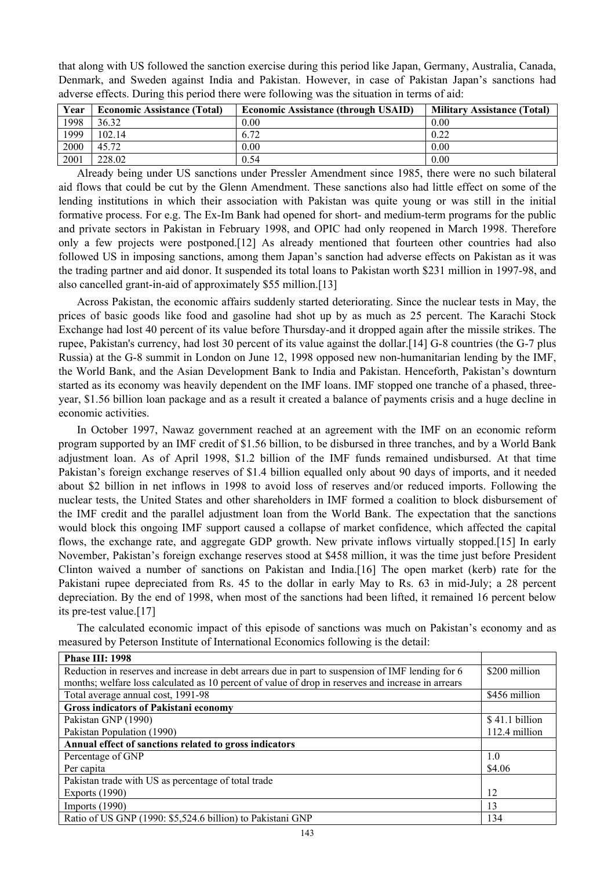that along with US followed the sanction exercise during this period like Japan, Germany, Australia, Canada, Denmark, and Sweden against India and Pakistan. However, in case of Pakistan Japan's sanctions had adverse effects. During this period there were following was the situation in terms of aid:

| Year | <b>Economic Assistance (Total)</b> | <b>Economic Assistance (through USAID)</b> | <b>Military Assistance (Total)</b> |
|------|------------------------------------|--------------------------------------------|------------------------------------|
| 1998 | 36.32                              | 0.00                                       | 0.00                               |
| 1999 | 102.14                             | 6.72                                       | 0.22                               |
| 2000 | 45.72                              | 0.00                                       | 0.00                               |
| 2001 | 228.02                             | 0.54                                       | 0.00                               |

Already being under US sanctions under Pressler Amendment since 1985, there were no such bilateral aid flows that could be cut by the Glenn Amendment. These sanctions also had little effect on some of the lending institutions in which their association with Pakistan was quite young or was still in the initial formative process. For e.g. The Ex-Im Bank had opened for short- and medium-term programs for the public and private sectors in Pakistan in February 1998, and OPIC had only reopened in March 1998. Therefore only a few projects were postponed.[12] As already mentioned that fourteen other countries had also followed US in imposing sanctions, among them Japan's sanction had adverse effects on Pakistan as it was the trading partner and aid donor. It suspended its total loans to Pakistan worth \$231 million in 1997-98, and also cancelled grant-in-aid of approximately \$55 million.[13]

Across Pakistan, the economic affairs suddenly started deteriorating. Since the nuclear tests in May, the prices of basic goods like food and gasoline had shot up by as much as 25 percent. The Karachi Stock Exchange had lost 40 percent of its value before Thursday-and it dropped again after the missile strikes. The rupee, Pakistan's currency, had lost 30 percent of its value against the dollar.[14] G-8 countries (the G-7 plus Russia) at the G-8 summit in London on June 12, 1998 opposed new non-humanitarian lending by the IMF, the World Bank, and the Asian Development Bank to India and Pakistan. Henceforth, Pakistan's downturn started as its economy was heavily dependent on the IMF loans. IMF stopped one tranche of a phased, threeyear, \$1.56 billion loan package and as a result it created a balance of payments crisis and a huge decline in economic activities.

In October 1997, Nawaz government reached at an agreement with the IMF on an economic reform program supported by an IMF credit of \$1.56 billion, to be disbursed in three tranches, and by a World Bank adjustment loan. As of April 1998, \$1.2 billion of the IMF funds remained undisbursed. At that time Pakistan's foreign exchange reserves of \$1.4 billion equalled only about 90 days of imports, and it needed about \$2 billion in net inflows in 1998 to avoid loss of reserves and/or reduced imports. Following the nuclear tests, the United States and other shareholders in IMF formed a coalition to block disbursement of the IMF credit and the parallel adjustment loan from the World Bank. The expectation that the sanctions would block this ongoing IMF support caused a collapse of market confidence, which affected the capital flows, the exchange rate, and aggregate GDP growth. New private inflows virtually stopped.[15] In early November, Pakistan's foreign exchange reserves stood at \$458 million, it was the time just before President Clinton waived a number of sanctions on Pakistan and India.[16] The open market (kerb) rate for the Pakistani rupee depreciated from Rs. 45 to the dollar in early May to Rs. 63 in mid-July; a 28 percent depreciation. By the end of 1998, when most of the sanctions had been lifted, it remained 16 percent below its pre-test value.[17]

The calculated economic impact of this episode of sanctions was much on Pakistan's economy and as measured by Peterson Institute of International Economics following is the detail:

| Phase III: 1998                                                                                    |                |  |
|----------------------------------------------------------------------------------------------------|----------------|--|
| Reduction in reserves and increase in debt arrears due in part to suspension of IMF lending for 6  |                |  |
| months; welfare loss calculated as 10 percent of value of drop in reserves and increase in arrears |                |  |
| Total average annual cost, 1991-98                                                                 |                |  |
| <b>Gross indicators of Pakistani economy</b>                                                       |                |  |
| Pakistan GNP (1990)                                                                                | \$41.1 billion |  |
| Pakistan Population (1990)                                                                         |                |  |
| Annual effect of sanctions related to gross indicators                                             |                |  |
| Percentage of GNP                                                                                  | 1.0            |  |
| Per capita                                                                                         | \$4.06         |  |
| Pakistan trade with US as percentage of total trade                                                |                |  |
| <b>Exports (1990)</b>                                                                              | 12             |  |
| Imports $(1990)$                                                                                   | 13             |  |
| Ratio of US GNP (1990: \$5,524.6 billion) to Pakistani GNP                                         | 134            |  |